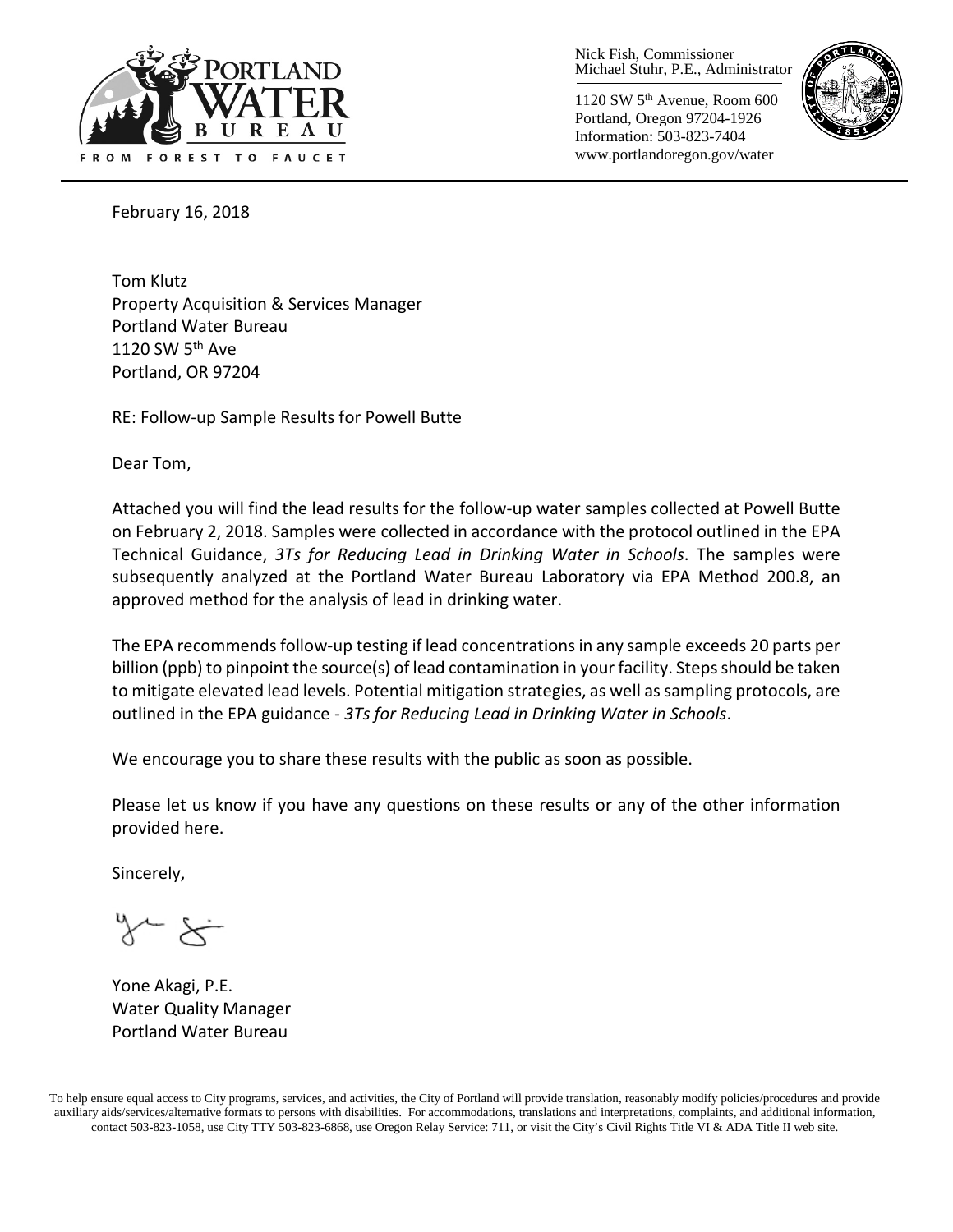

Nick Fish, Commissioner Michael Stuhr, P.E., Administrator

1120 SW 5th Avenue, Room 600 Portland, Oregon 97204-1926 Information: 503-823-7404 www.portlandoregon.gov/water



February 16, 2018

Tom Klutz Property Acquisition & Services Manager Portland Water Bureau 1120 SW  $5<sup>th</sup>$  Ave Portland, OR 97204

RE: Follow-up Sample Results for Powell Butte

Dear Tom,

Attached you will find the lead results for the follow-up water samples collected at Powell Butte on February 2, 2018. Samples were collected in accordance with the protocol outlined in the EPA Technical Guidance, *3Ts for Reducing Lead in Drinking Water in Schools*. The samples were subsequently analyzed at the Portland Water Bureau Laboratory via EPA Method 200.8, an approved method for the analysis of lead in drinking water.

The EPA recommends follow-up testing if lead concentrations in any sample exceeds 20 parts per billion (ppb) to pinpoint the source(s) of lead contamination in your facility. Steps should be taken to mitigate elevated lead levels. Potential mitigation strategies, as well as sampling protocols, are outlined in the EPA guidance - *3Ts for Reducing Lead in Drinking Water in Schools*.

We encourage you to share these results with the public as soon as possible.

Please let us know if you have any questions on these results or any of the other information provided here.

Sincerely,

Yone Akagi, P.E. Water Quality Manager Portland Water Bureau

To help ensure equal access to City programs, services, and activities, the City of Portland will provide translation, reasonably modify policies/procedures and provide auxiliary aids/services/alternative formats to persons with disabilities. For accommodations, translations and interpretations, complaints, and additional information, contact 503-823-1058, use City TTY 503-823-6868, use Oregon Relay Service: 711, or visi[t the City's Civil Rights Title VI & ADA Title II web site.](http://www.portlandoregon.gov/oehr/66458)